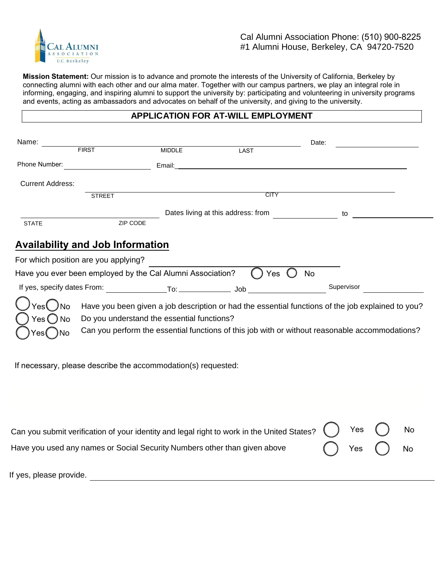

**Mission Statement:** Our mission is to advance and promote the interests of the University of California, Berkeley by connecting alumni with each other and our alma mater. Together with our campus partners, we play an integral role in informing, engaging, and inspiring alumni to support the university by: participating and volunteering in university programs and events, acting as ambassadors and advocates on behalf of the university, and giving to the university.

# **APPLICATION FOR AT-WILL EMPLOYMENT**

| Name:                   |                                                               |                                    |             | Date:                                                                                             |
|-------------------------|---------------------------------------------------------------|------------------------------------|-------------|---------------------------------------------------------------------------------------------------|
|                         | <b>FIRST</b>                                                  | <b>MIDDLE</b>                      | <b>LAST</b> |                                                                                                   |
| Phone Number:           |                                                               | Email:                             |             |                                                                                                   |
| <b>Current Address:</b> |                                                               |                                    |             |                                                                                                   |
|                         | <b>STREET</b>                                                 |                                    | <b>CITY</b> |                                                                                                   |
|                         |                                                               | Dates living at this address: from |             | to                                                                                                |
| <b>STATE</b>            | ZIP CODE                                                      |                                    |             |                                                                                                   |
|                         | <b>Availability and Job Information</b>                       |                                    |             |                                                                                                   |
|                         | For which position are you applying?                          |                                    |             |                                                                                                   |
|                         | Have you ever been employed by the Cal Alumni Association?    |                                    | Yes         | <b>No</b>                                                                                         |
|                         | If yes, specify dates From: To: To: Job                       |                                    |             | Supervisor                                                                                        |
|                         |                                                               |                                    |             | Have you been given a job description or had the essential functions of the job explained to you? |
| $Yes()$ No              | Do you understand the essential functions?                    |                                    |             |                                                                                                   |
|                         |                                                               |                                    |             | Can you perform the essential functions of this job with or without reasonable accommodations?    |
|                         |                                                               |                                    |             |                                                                                                   |
|                         | If necessary, please describe the accommodation(s) requested: |                                    |             |                                                                                                   |
|                         |                                                               |                                    |             |                                                                                                   |
|                         |                                                               |                                    |             |                                                                                                   |
|                         |                                                               |                                    |             |                                                                                                   |

| Can you submit verification of your identity and legal right to work in the United States? $( )$ Yes $\bigcup$ No |  |                            |  |
|-------------------------------------------------------------------------------------------------------------------|--|----------------------------|--|
| Have you used any names or Social Security Numbers other than given above                                         |  | $\bigcap$ Yes $\bigcap$ No |  |

If yes, please provide.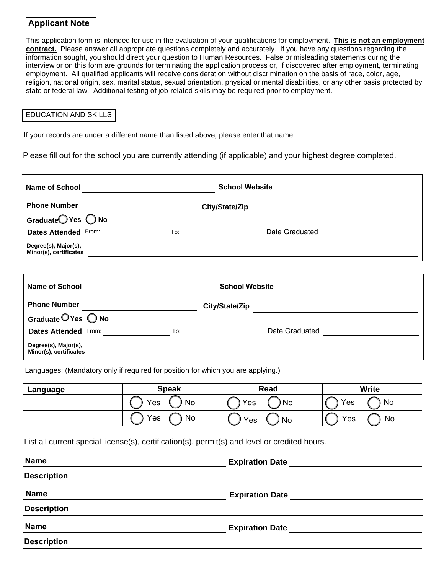## **Applicant Note**

This application form is intended for use in the evaluation of your qualifications for employment. **This is not an employment contract.** Please answer all appropriate questions completely and accurately. If you have any questions regarding the information sought, you should direct your question to Human Resources. False or misleading statements during the interview or on this form are grounds for terminating the application process or, if discovered after employment, terminating employment. All qualified applicants will receive consideration without discrimination on the basis of race, color, age, religion, national origin, sex, marital status, sexual orientation, physical or mental disabilities, or any other basis protected by state or federal law. Additional testing of job-related skills may be required prior to employment.

#### EDUCATION AND SKILLS

If your records are under a different name than listed above, please enter that name:

Please fill out for the school you are currently attending (if applicable) and your highest degree completed.

| <b>Name of School</b>                          |                                                                                                                                                                                                                                                                                                                               | <b>School Website</b>                                                                                                                                                                                                                                                                                                                                                                    |  |
|------------------------------------------------|-------------------------------------------------------------------------------------------------------------------------------------------------------------------------------------------------------------------------------------------------------------------------------------------------------------------------------|------------------------------------------------------------------------------------------------------------------------------------------------------------------------------------------------------------------------------------------------------------------------------------------------------------------------------------------------------------------------------------------|--|
| <b>Phone Number</b>                            |                                                                                                                                                                                                                                                                                                                               | City/State/Zip                                                                                                                                                                                                                                                                                                                                                                           |  |
| Graduate <sup>OYes</sup> ONo                   |                                                                                                                                                                                                                                                                                                                               |                                                                                                                                                                                                                                                                                                                                                                                          |  |
| <b>Dates Attended From:</b>                    | $\overline{a}$ To: the contract of $\overline{a}$ and $\overline{a}$ and $\overline{a}$ and $\overline{a}$ and $\overline{a}$ and $\overline{a}$ and $\overline{a}$ and $\overline{a}$ and $\overline{a}$ and $\overline{a}$ and $\overline{a}$ and $\overline{a}$ and $\overline{a}$ and $\overline{a}$ and $\overline{a}$ a | Date Graduated<br><u> and</u><br><u>and</u><br><u>and</u><br><u>and</u><br><u>and</u><br><u>and</u><br><u>and</u><br>and<br><b>and</b><br><b>and</b><br><b>and</b><br><b>and</b><br><b>and</b><br><b>and</b><br><b>and</b><br><b>and</b><br><b>and</b><br><b>and</b><br><b>and</b><br><b>and</b><br><b>and</b><br><b>and</b><br><b>and</b><br><b>and</b><br><b>and</b><br><b>and</b><br> |  |
| Degree(s), Major(s),<br>Minor(s), certificates |                                                                                                                                                                                                                                                                                                                               |                                                                                                                                                                                                                                                                                                                                                                                          |  |
|                                                |                                                                                                                                                                                                                                                                                                                               | <b>School Website</b>                                                                                                                                                                                                                                                                                                                                                                    |  |
| <b>Name of School</b>                          |                                                                                                                                                                                                                                                                                                                               |                                                                                                                                                                                                                                                                                                                                                                                          |  |
| <b>Phone Number</b>                            |                                                                                                                                                                                                                                                                                                                               | City/State/Zip                                                                                                                                                                                                                                                                                                                                                                           |  |
| Graduate OYes ONo                              |                                                                                                                                                                                                                                                                                                                               |                                                                                                                                                                                                                                                                                                                                                                                          |  |
| <b>Dates Attended From:</b>                    | To: $\qquad \qquad \qquad$                                                                                                                                                                                                                                                                                                    | Date Graduated                                                                                                                                                                                                                                                                                                                                                                           |  |
| Degree(s), Major(s),<br>Minor(s), certificates |                                                                                                                                                                                                                                                                                                                               |                                                                                                                                                                                                                                                                                                                                                                                          |  |

Languages: (Mandatory only if required for position for which you are applying.)

| Language | <b>Speak</b> | Read      | <b>Write</b> |  |
|----------|--------------|-----------|--------------|--|
|          | Yes          | Yes       | Yes          |  |
|          | N0           | No.       | No           |  |
|          | Yes          | Yes       | Yes          |  |
|          | No           | <b>No</b> | No           |  |

List all current special license(s), certification(s), permit(s) and level or credited hours.

| <b>Name</b>        | <b>Expiration Date</b> |  |
|--------------------|------------------------|--|
| <b>Description</b> |                        |  |
| <b>Name</b>        | <b>Expiration Date</b> |  |
| <b>Description</b> |                        |  |
| <b>Name</b>        | <b>Expiration Date</b> |  |
| <b>Description</b> |                        |  |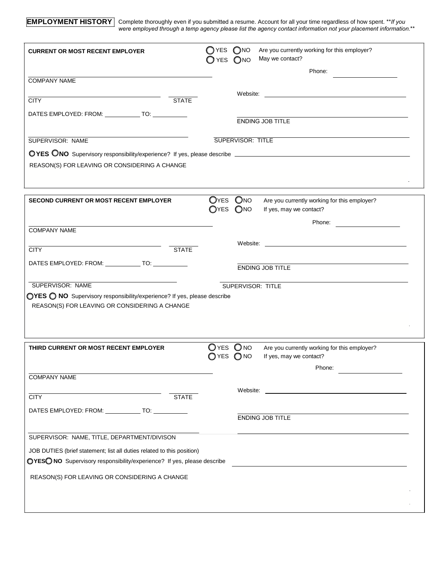**EMPLOYMENT HISTORY** Complete thoroughly even if you submitted a resume. Account for all your time regardless of how spent. \*\**If you were employed through a temp agency please list the agency contact information not your placement information.*\*\*

| <b>CURRENT OR MOST RECENT EMPLOYER</b>                                                                                    | $\bigcirc$ YES<br>$\Box$ YES | O <sub>NO</sub><br>O <sub>NO</sub> | Are you currently working for this employer?<br>May we contact?                                                                                                                                                               |
|---------------------------------------------------------------------------------------------------------------------------|------------------------------|------------------------------------|-------------------------------------------------------------------------------------------------------------------------------------------------------------------------------------------------------------------------------|
| <b>COMPANY NAME</b>                                                                                                       |                              |                                    | Phone:                                                                                                                                                                                                                        |
| <b>STATE</b>                                                                                                              |                              |                                    | Website: when the contract of the contract of the contract of the contract of the contract of the contract of the contract of the contract of the contract of the contract of the contract of the contract of the contract of |
| <b>CITY</b>                                                                                                               |                              |                                    |                                                                                                                                                                                                                               |
| DATES EMPLOYED: FROM: _____________ TO: ____________                                                                      |                              |                                    | <b>ENDING JOB TITLE</b>                                                                                                                                                                                                       |
| SUPERVISOR: NAME                                                                                                          |                              | <b>SUPERVISOR: TITLE</b>           |                                                                                                                                                                                                                               |
| REASON(S) FOR LEAVING OR CONSIDERING A CHANGE                                                                             |                              |                                    |                                                                                                                                                                                                                               |
| <b>SECOND CURRENT OR MOST RECENT EMPLOYER</b>                                                                             | O <sub>YES</sub>             | OYES ONO<br>O <sub>NO</sub>        | Are you currently working for this employer?<br>If yes, may we contact?                                                                                                                                                       |
| <b>COMPANY NAME</b>                                                                                                       |                              |                                    | Phone:                                                                                                                                                                                                                        |
|                                                                                                                           |                              |                                    |                                                                                                                                                                                                                               |
| <b>STATE</b><br><b>CITY</b>                                                                                               |                              |                                    |                                                                                                                                                                                                                               |
| DATES EMPLOYED: FROM: ______________ TO: ____________                                                                     |                              |                                    | ENDING JOB TITLE                                                                                                                                                                                                              |
| SUPERVISOR: NAME                                                                                                          |                              | SUPERVISOR: TITLE                  |                                                                                                                                                                                                                               |
| OYES O NO Supervisory responsibility/experience? If yes, please describe<br>REASON(S) FOR LEAVING OR CONSIDERING A CHANGE |                              |                                    |                                                                                                                                                                                                                               |
| THIRD CURRENT OR MOST RECENT EMPLOYER                                                                                     | OYES ONO<br>YES              | O <sub>NO</sub>                    | Are you currently working for this employer?<br>If yes, may we contact?                                                                                                                                                       |
|                                                                                                                           |                              |                                    | Phone:                                                                                                                                                                                                                        |
| <b>COMPANY NAME</b>                                                                                                       |                              |                                    |                                                                                                                                                                                                                               |
| <b>STATE</b><br><b>CITY</b>                                                                                               |                              |                                    |                                                                                                                                                                                                                               |
| DATES EMPLOYED: FROM: ______________ TO: ____________                                                                     |                              |                                    | ENDING JOB TITLE                                                                                                                                                                                                              |
| SUPERVISOR: NAME, TITLE, DEPARTMENT/DIVISON                                                                               |                              |                                    |                                                                                                                                                                                                                               |
| JOB DUTIES (brief statement; list all duties related to this position)                                                    |                              |                                    |                                                                                                                                                                                                                               |
| OYESO NO Supervisory responsibility/experience? If yes, please describe                                                   |                              |                                    |                                                                                                                                                                                                                               |
| REASON(S) FOR LEAVING OR CONSIDERING A CHANGE                                                                             |                              |                                    |                                                                                                                                                                                                                               |
|                                                                                                                           |                              |                                    |                                                                                                                                                                                                                               |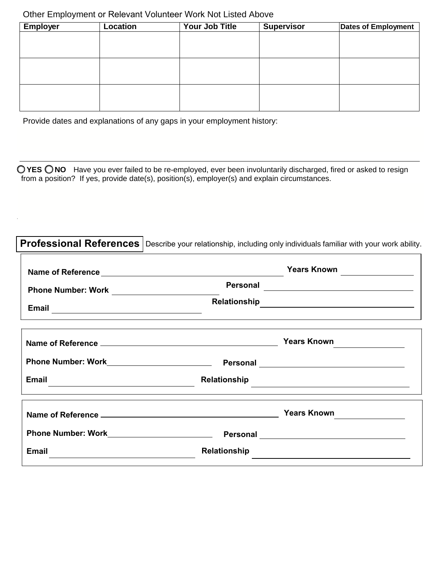# Other Employment or Relevant Volunteer Work Not Listed Above

| <b>Employer</b> | <b>Location</b> | Your Job Title | <b>Supervisor</b> | <b>Dates of Employment</b> |
|-----------------|-----------------|----------------|-------------------|----------------------------|
|                 |                 |                |                   |                            |
|                 |                 |                |                   |                            |
|                 |                 |                |                   |                            |
|                 |                 |                |                   |                            |
|                 |                 |                |                   |                            |
|                 |                 |                |                   |                            |
|                 |                 |                |                   |                            |
|                 |                 |                |                   |                            |

Provide dates and explanations of any gaps in your employment history:

**0 YES 0 NO** Have you ever failed to be re-employed, ever been involuntarily discharged, fired or asked to resign from a position? If yes, provide date(s), position(s), employer(s) and explain circumstances.

|                                                                                                                               |              | Professional References   Describe your relationship, including only individuals familiar with your work ability. |
|-------------------------------------------------------------------------------------------------------------------------------|--------------|-------------------------------------------------------------------------------------------------------------------|
|                                                                                                                               |              | Years Known                                                                                                       |
|                                                                                                                               | Personal     | <u> 1989 - Jan Barbara (j. 1989)</u>                                                                              |
|                                                                                                                               |              |                                                                                                                   |
|                                                                                                                               |              |                                                                                                                   |
|                                                                                                                               |              |                                                                                                                   |
| Email<br><u> 1980 - Jan Samuel Barbara, margaret e populari e populari e populari e populari e populari e populari e popu</u> | Relationship | <u> 1989 - Johann Stoff, fransk politik (d. 1989)</u>                                                             |
|                                                                                                                               |              | Years Known                                                                                                       |
|                                                                                                                               |              |                                                                                                                   |
| <b>Email</b>                                                                                                                  | Relationship |                                                                                                                   |